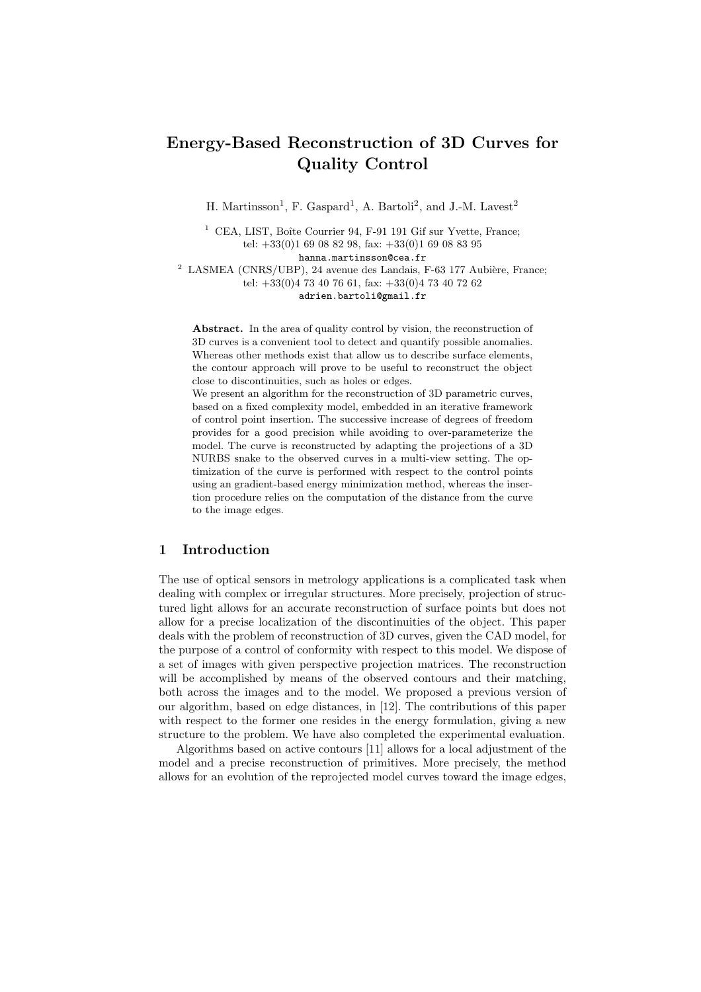# Energy-Based Reconstruction of 3D Curves for Quality Control

H. Martinsson<sup>1</sup>, F. Gaspard<sup>1</sup>, A. Bartoli<sup>2</sup>, and J.-M. Lavest<sup>2</sup>

 $1$  CEA, LIST, Boîte Courrier 94, F-91 191 Gif sur Yvette, France; tel:  $+33(0)1$  69 08 82 98, fax:  $+33(0)1$  69 08 83 95 hanna.martinsson@cea.fr

 $^2$  LASMEA (CNRS/UBP), 24 avenue des Landais, F-63 177 Aubière, France; tel:  $+33(0)473407661$ , fax:  $+33(0)473407262$ adrien.bartoli@gmail.fr

Abstract. In the area of quality control by vision, the reconstruction of 3D curves is a convenient tool to detect and quantify possible anomalies. Whereas other methods exist that allow us to describe surface elements, the contour approach will prove to be useful to reconstruct the object close to discontinuities, such as holes or edges.

We present an algorithm for the reconstruction of 3D parametric curves, based on a fixed complexity model, embedded in an iterative framework of control point insertion. The successive increase of degrees of freedom provides for a good precision while avoiding to over-parameterize the model. The curve is reconstructed by adapting the projections of a 3D NURBS snake to the observed curves in a multi-view setting. The optimization of the curve is performed with respect to the control points using an gradient-based energy minimization method, whereas the insertion procedure relies on the computation of the distance from the curve to the image edges.

# 1 Introduction

The use of optical sensors in metrology applications is a complicated task when dealing with complex or irregular structures. More precisely, projection of structured light allows for an accurate reconstruction of surface points but does not allow for a precise localization of the discontinuities of the object. This paper deals with the problem of reconstruction of 3D curves, given the CAD model, for the purpose of a control of conformity with respect to this model. We dispose of a set of images with given perspective projection matrices. The reconstruction will be accomplished by means of the observed contours and their matching, both across the images and to the model. We proposed a previous version of our algorithm, based on edge distances, in [12]. The contributions of this paper with respect to the former one resides in the energy formulation, giving a new structure to the problem. We have also completed the experimental evaluation.

Algorithms based on active contours [11] allows for a local adjustment of the model and a precise reconstruction of primitives. More precisely, the method allows for an evolution of the reprojected model curves toward the image edges,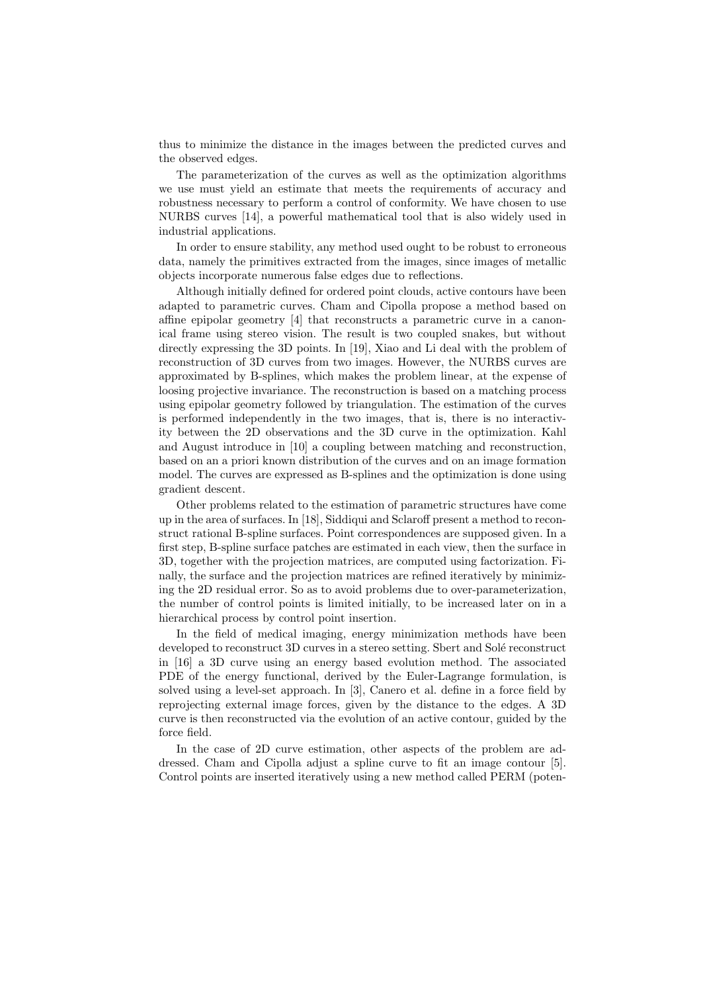thus to minimize the distance in the images between the predicted curves and the observed edges.

The parameterization of the curves as well as the optimization algorithms we use must yield an estimate that meets the requirements of accuracy and robustness necessary to perform a control of conformity. We have chosen to use NURBS curves [14], a powerful mathematical tool that is also widely used in industrial applications.

In order to ensure stability, any method used ought to be robust to erroneous data, namely the primitives extracted from the images, since images of metallic objects incorporate numerous false edges due to reflections.

Although initially defined for ordered point clouds, active contours have been adapted to parametric curves. Cham and Cipolla propose a method based on affine epipolar geometry [4] that reconstructs a parametric curve in a canonical frame using stereo vision. The result is two coupled snakes, but without directly expressing the 3D points. In [19], Xiao and Li deal with the problem of reconstruction of 3D curves from two images. However, the NURBS curves are approximated by B-splines, which makes the problem linear, at the expense of loosing projective invariance. The reconstruction is based on a matching process using epipolar geometry followed by triangulation. The estimation of the curves is performed independently in the two images, that is, there is no interactivity between the 2D observations and the 3D curve in the optimization. Kahl and August introduce in [10] a coupling between matching and reconstruction, based on an a priori known distribution of the curves and on an image formation model. The curves are expressed as B-splines and the optimization is done using gradient descent.

Other problems related to the estimation of parametric structures have come up in the area of surfaces. In [18], Siddiqui and Sclaroff present a method to reconstruct rational B-spline surfaces. Point correspondences are supposed given. In a first step, B-spline surface patches are estimated in each view, then the surface in 3D, together with the projection matrices, are computed using factorization. Finally, the surface and the projection matrices are refined iteratively by minimizing the 2D residual error. So as to avoid problems due to over-parameterization, the number of control points is limited initially, to be increased later on in a hierarchical process by control point insertion.

In the field of medical imaging, energy minimization methods have been developed to reconstruct 3D curves in a stereo setting. Sbert and Solé reconstruct in [16] a 3D curve using an energy based evolution method. The associated PDE of the energy functional, derived by the Euler-Lagrange formulation, is solved using a level-set approach. In [3], Canero et al. define in a force field by reprojecting external image forces, given by the distance to the edges. A 3D curve is then reconstructed via the evolution of an active contour, guided by the force field.

In the case of 2D curve estimation, other aspects of the problem are addressed. Cham and Cipolla adjust a spline curve to fit an image contour [5]. Control points are inserted iteratively using a new method called PERM (poten-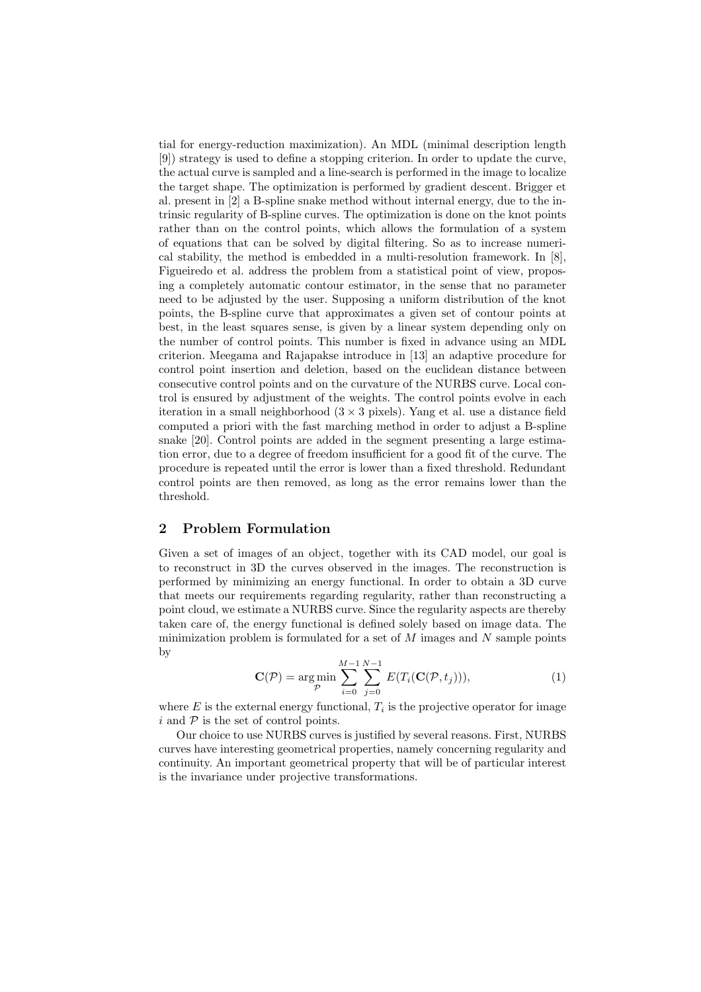tial for energy-reduction maximization). An MDL (minimal description length [9]) strategy is used to define a stopping criterion. In order to update the curve, the actual curve is sampled and a line-search is performed in the image to localize the target shape. The optimization is performed by gradient descent. Brigger et al. present in [2] a B-spline snake method without internal energy, due to the intrinsic regularity of B-spline curves. The optimization is done on the knot points rather than on the control points, which allows the formulation of a system of equations that can be solved by digital filtering. So as to increase numerical stability, the method is embedded in a multi-resolution framework. In [8], Figueiredo et al. address the problem from a statistical point of view, proposing a completely automatic contour estimator, in the sense that no parameter need to be adjusted by the user. Supposing a uniform distribution of the knot points, the B-spline curve that approximates a given set of contour points at best, in the least squares sense, is given by a linear system depending only on the number of control points. This number is fixed in advance using an MDL criterion. Meegama and Rajapakse introduce in [13] an adaptive procedure for control point insertion and deletion, based on the euclidean distance between consecutive control points and on the curvature of the NURBS curve. Local control is ensured by adjustment of the weights. The control points evolve in each iteration in a small neighborhood  $(3 \times 3$  pixels). Yang et al. use a distance field computed a priori with the fast marching method in order to adjust a B-spline snake [20]. Control points are added in the segment presenting a large estimation error, due to a degree of freedom insufficient for a good fit of the curve. The procedure is repeated until the error is lower than a fixed threshold. Redundant control points are then removed, as long as the error remains lower than the threshold.

### 2 Problem Formulation

Given a set of images of an object, together with its CAD model, our goal is to reconstruct in 3D the curves observed in the images. The reconstruction is performed by minimizing an energy functional. In order to obtain a 3D curve that meets our requirements regarding regularity, rather than reconstructing a point cloud, we estimate a NURBS curve. Since the regularity aspects are thereby taken care of, the energy functional is defined solely based on image data. The minimization problem is formulated for a set of  $M$  images and  $N$  sample points by

$$
\mathbf{C}(\mathcal{P}) = \underset{\mathcal{P}}{\arg\min} \sum_{i=0}^{M-1} \sum_{j=0}^{N-1} E(T_i(\mathbf{C}(\mathcal{P}, t_j))), \qquad (1)
$$

where  $E$  is the external energy functional,  $T_i$  is the projective operator for image  $i$  and  $\mathcal P$  is the set of control points.

Our choice to use NURBS curves is justified by several reasons. First, NURBS curves have interesting geometrical properties, namely concerning regularity and continuity. An important geometrical property that will be of particular interest is the invariance under projective transformations.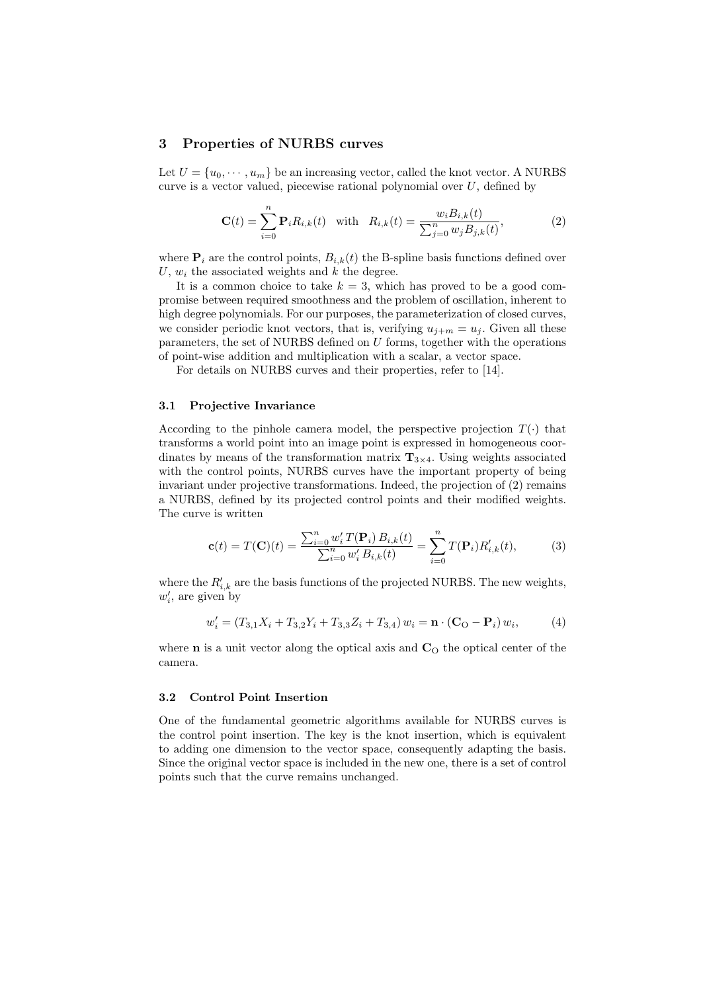### 3 Properties of NURBS curves

Let  $U = \{u_0, \dots, u_m\}$  be an increasing vector, called the knot vector. A NURBS curve is a vector valued, piecewise rational polynomial over  $U$ , defined by

$$
\mathbf{C}(t) = \sum_{i=0}^{n} \mathbf{P}_{i} R_{i,k}(t) \text{ with } R_{i,k}(t) = \frac{w_{i} B_{i,k}(t)}{\sum_{j=0}^{n} w_{j} B_{j,k}(t)},
$$
(2)

where  $P_i$  are the control points,  $B_{i,k}(t)$  the B-spline basis functions defined over  $U, w_i$  the associated weights and  $k$  the degree.

It is a common choice to take  $k = 3$ , which has proved to be a good compromise between required smoothness and the problem of oscillation, inherent to high degree polynomials. For our purposes, the parameterization of closed curves, we consider periodic knot vectors, that is, verifying  $u_{i+m} = u_i$ . Given all these parameters, the set of NURBS defined on  $U$  forms, together with the operations of point-wise addition and multiplication with a scalar, a vector space.

For details on NURBS curves and their properties, refer to [14].

### 3.1 Projective Invariance

According to the pinhole camera model, the perspective projection  $T(\cdot)$  that transforms a world point into an image point is expressed in homogeneous coordinates by means of the transformation matrix  $T_{3\times 4}$ . Using weights associated with the control points, NURBS curves have the important property of being invariant under projective transformations. Indeed, the projection of (2) remains a NURBS, defined by its projected control points and their modified weights. The curve is written

$$
\mathbf{c}(t) = T(\mathbf{C})(t) = \frac{\sum_{i=0}^{n} w'_i T(\mathbf{P}_i) B_{i,k}(t)}{\sum_{i=0}^{n} w'_i B_{i,k}(t)} = \sum_{i=0}^{n} T(\mathbf{P}_i) R'_{i,k}(t),
$$
(3)

where the  $R'_{i,k}$  are the basis functions of the projected NURBS. The new weights,  $w'_i$ , are given by

$$
w'_{i} = (T_{3,1}X_{i} + T_{3,2}Y_{i} + T_{3,3}Z_{i} + T_{3,4}) w_{i} = \mathbf{n} \cdot (\mathbf{C}_{\mathbf{O}} - \mathbf{P}_{i}) w_{i}, \tag{4}
$$

where  **is a unit vector along the optical axis and**  $**C**<sub>O</sub>$  **the optical center of the** camera.

### 3.2 Control Point Insertion

One of the fundamental geometric algorithms available for NURBS curves is the control point insertion. The key is the knot insertion, which is equivalent to adding one dimension to the vector space, consequently adapting the basis. Since the original vector space is included in the new one, there is a set of control points such that the curve remains unchanged.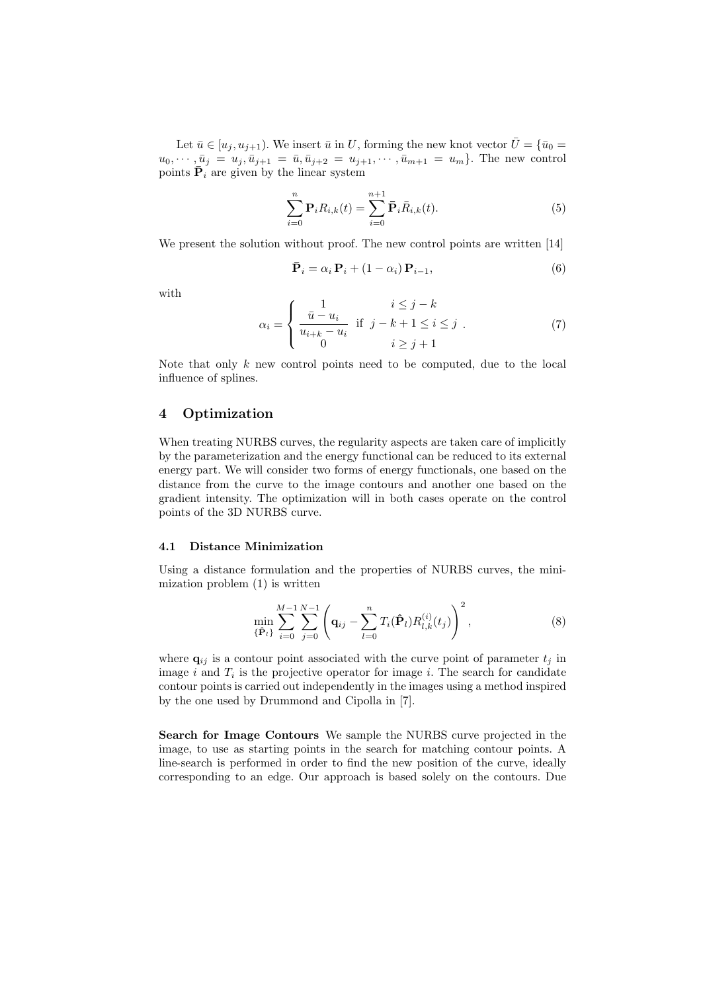Let  $\bar{u} \in [u_j, u_{j+1})$ . We insert  $\bar{u}$  in U, forming the new knot vector  $\bar{U} = {\bar{u}_0}$  $u_0, \dots, \bar{u}_j = u_j, \bar{u}_{j+1} = \bar{u}, \bar{u}_{j+2} = u_{j+1}, \dots, \bar{u}_{m+1} = u_m$ . The new control points  $\bar{P}_i$  are given by the linear system

$$
\sum_{i=0}^{n} \mathbf{P}_{i} R_{i,k}(t) = \sum_{i=0}^{n+1} \bar{\mathbf{P}}_{i} \bar{R}_{i,k}(t).
$$
 (5)

We present the solution without proof. The new control points are written [14]

$$
\bar{\mathbf{P}}_i = \alpha_i \, \mathbf{P}_i + (1 - \alpha_i) \, \mathbf{P}_{i-1},\tag{6}
$$

with

$$
\alpha_i = \begin{cases} \frac{1}{\bar{u} - u_i} & \text{if } j - k \\ \frac{u_{i+k} - u_i}{0} & \text{if } j - k + 1 \le i \le j \\ 0 & \text{if } i \ge j + 1 \end{cases} \tag{7}
$$

Note that only  $k$  new control points need to be computed, due to the local influence of splines.

# 4 Optimization

When treating NURBS curves, the regularity aspects are taken care of implicitly by the parameterization and the energy functional can be reduced to its external energy part. We will consider two forms of energy functionals, one based on the distance from the curve to the image contours and another one based on the gradient intensity. The optimization will in both cases operate on the control points of the 3D NURBS curve.

### 4.1 Distance Minimization

Using a distance formulation and the properties of NURBS curves, the minimization problem (1) is written

$$
\min_{\{\hat{\mathbf{P}}_l\}} \sum_{i=0}^{M-1} \sum_{j=0}^{N-1} \left( \mathbf{q}_{ij} - \sum_{l=0}^n T_i(\hat{\mathbf{P}}_l) R_{l,k}^{(i)}(t_j) \right)^2, \tag{8}
$$

where  $\mathbf{q}_{ij}$  is a contour point associated with the curve point of parameter  $t_j$  in image i and  $T_i$  is the projective operator for image i. The search for candidate contour points is carried out independently in the images using a method inspired by the one used by Drummond and Cipolla in [7].

Search for Image Contours We sample the NURBS curve projected in the image, to use as starting points in the search for matching contour points. A line-search is performed in order to find the new position of the curve, ideally corresponding to an edge. Our approach is based solely on the contours. Due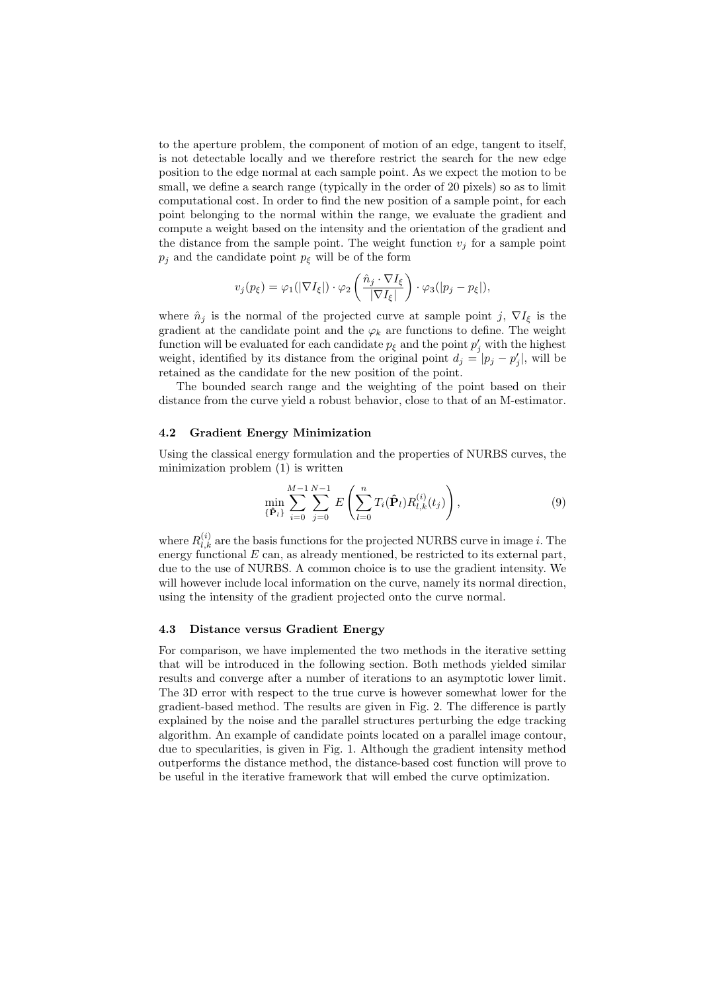to the aperture problem, the component of motion of an edge, tangent to itself, is not detectable locally and we therefore restrict the search for the new edge position to the edge normal at each sample point. As we expect the motion to be small, we define a search range (typically in the order of 20 pixels) so as to limit computational cost. In order to find the new position of a sample point, for each point belonging to the normal within the range, we evaluate the gradient and compute a weight based on the intensity and the orientation of the gradient and the distance from the sample point. The weight function  $v_j$  for a sample point  $p_i$  and the candidate point  $p_f$  will be of the form

$$
v_j(p_{\xi}) = \varphi_1(|\nabla I_{\xi}|) \cdot \varphi_2\left(\frac{\hat{n}_j \cdot \nabla I_{\xi}}{|\nabla I_{\xi}|}\right) \cdot \varphi_3(|p_j - p_{\xi}|),
$$

where  $\hat{n}_i$  is the normal of the projected curve at sample point j,  $\nabla I_{\xi}$  is the gradient at the candidate point and the  $\varphi_k$  are functions to define. The weight function will be evaluated for each candidate  $p_{\xi}$  and the point  $p'_{j}$  with the highest weight, identified by its distance from the original point  $d_j = |p_j - p'_j|$ , will be retained as the candidate for the new position of the point.

The bounded search range and the weighting of the point based on their distance from the curve yield a robust behavior, close to that of an M-estimator.

## 4.2 Gradient Energy Minimization

Using the classical energy formulation and the properties of NURBS curves, the minimization problem (1) is written

$$
\min_{\{\hat{\mathbf{P}}_l\}} \sum_{i=0}^{M-1} \sum_{j=0}^{N-1} E\left(\sum_{l=0}^n T_i(\hat{\mathbf{P}}_l) R_{l,k}^{(i)}(t_j)\right),\tag{9}
$$

where  $R_{l,k}^{(i)}$  are the basis functions for the projected NURBS curve in image  $i$ . The energy functional  $E$  can, as already mentioned, be restricted to its external part, due to the use of NURBS. A common choice is to use the gradient intensity. We will however include local information on the curve, namely its normal direction, using the intensity of the gradient projected onto the curve normal.

#### 4.3 Distance versus Gradient Energy

For comparison, we have implemented the two methods in the iterative setting that will be introduced in the following section. Both methods yielded similar results and converge after a number of iterations to an asymptotic lower limit. The 3D error with respect to the true curve is however somewhat lower for the gradient-based method. The results are given in Fig. 2. The difference is partly explained by the noise and the parallel structures perturbing the edge tracking algorithm. An example of candidate points located on a parallel image contour, due to specularities, is given in Fig. 1. Although the gradient intensity method outperforms the distance method, the distance-based cost function will prove to be useful in the iterative framework that will embed the curve optimization.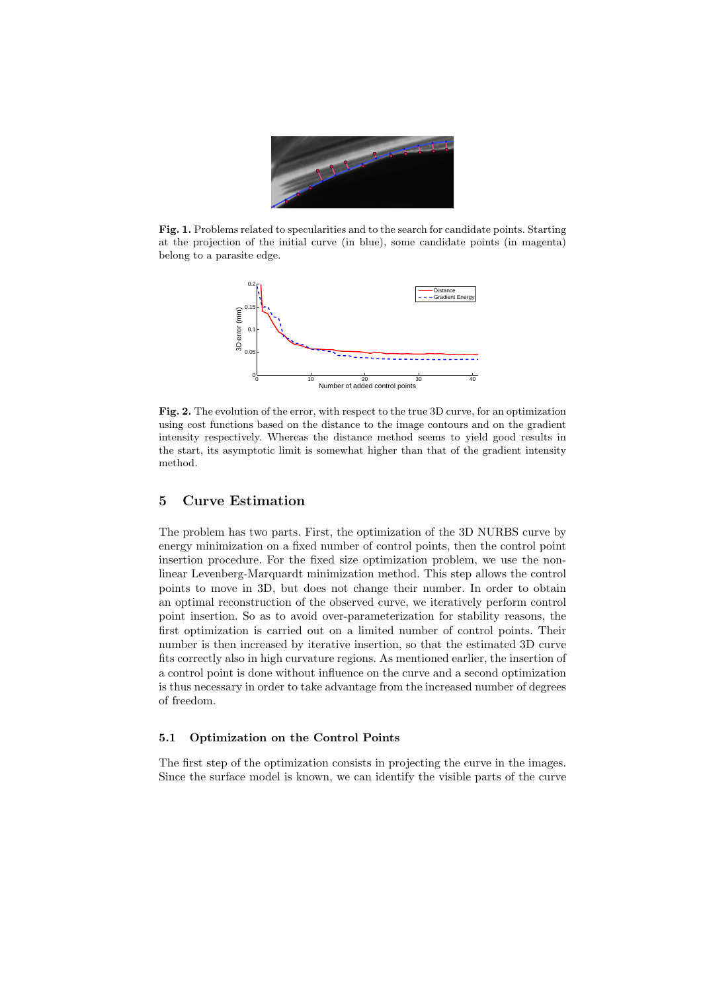

Fig. 1. Problems related to specularities and to the search for candidate points. Starting at the projection of the initial curve (in blue), some candidate points (in magenta) belong to a parasite edge.



Fig. 2. The evolution of the error, with respect to the true 3D curve, for an optimization using cost functions based on the distance to the image contours and on the gradient intensity respectively. Whereas the distance method seems to yield good results in the start, its asymptotic limit is somewhat higher than that of the gradient intensity method.

# 5 Curve Estimation

The problem has two parts. First, the optimization of the 3D NURBS curve by energy minimization on a fixed number of control points, then the control point insertion procedure. For the fixed size optimization problem, we use the nonlinear Levenberg-Marquardt minimization method. This step allows the control points to move in 3D, but does not change their number. In order to obtain an optimal reconstruction of the observed curve, we iteratively perform control point insertion. So as to avoid over-parameterization for stability reasons, the first optimization is carried out on a limited number of control points. Their number is then increased by iterative insertion, so that the estimated 3D curve fits correctly also in high curvature regions. As mentioned earlier, the insertion of a control point is done without influence on the curve and a second optimization is thus necessary in order to take advantage from the increased number of degrees of freedom.

### 5.1 Optimization on the Control Points

The first step of the optimization consists in projecting the curve in the images. Since the surface model is known, we can identify the visible parts of the curve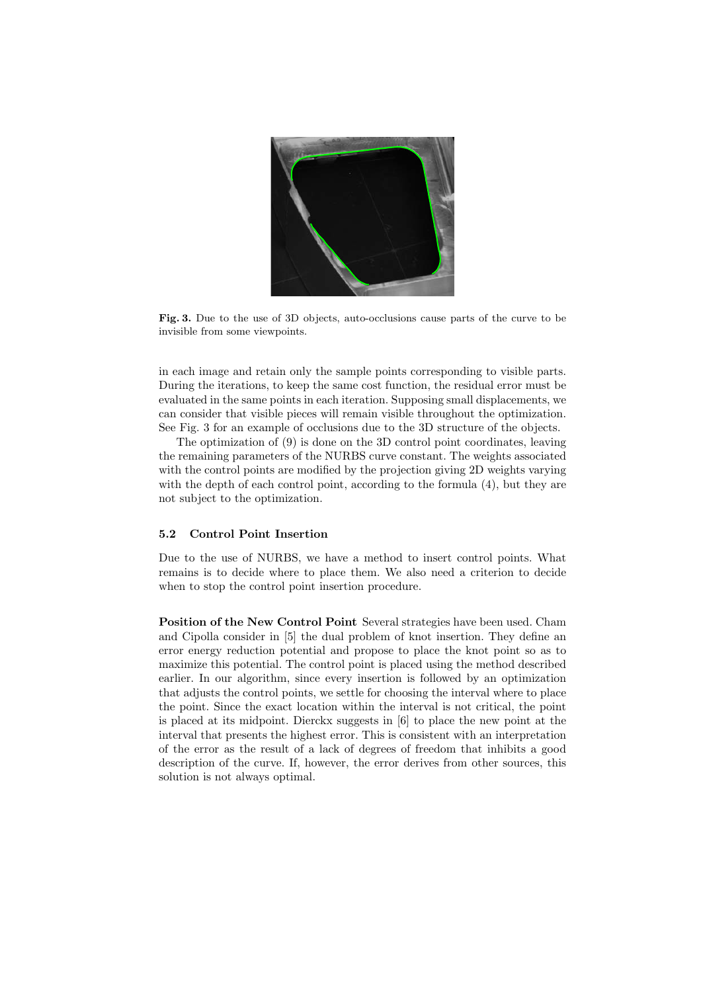

Fig. 3. Due to the use of 3D objects, auto-occlusions cause parts of the curve to be invisible from some viewpoints.

in each image and retain only the sample points corresponding to visible parts. During the iterations, to keep the same cost function, the residual error must be evaluated in the same points in each iteration. Supposing small displacements, we can consider that visible pieces will remain visible throughout the optimization. See Fig. 3 for an example of occlusions due to the 3D structure of the objects.

The optimization of (9) is done on the 3D control point coordinates, leaving the remaining parameters of the NURBS curve constant. The weights associated with the control points are modified by the projection giving 2D weights varying with the depth of each control point, according to the formula  $(4)$ , but they are not subject to the optimization.

### 5.2 Control Point Insertion

Due to the use of NURBS, we have a method to insert control points. What remains is to decide where to place them. We also need a criterion to decide when to stop the control point insertion procedure.

Position of the New Control Point Several strategies have been used. Cham and Cipolla consider in [5] the dual problem of knot insertion. They define an error energy reduction potential and propose to place the knot point so as to maximize this potential. The control point is placed using the method described earlier. In our algorithm, since every insertion is followed by an optimization that adjusts the control points, we settle for choosing the interval where to place the point. Since the exact location within the interval is not critical, the point is placed at its midpoint. Dierckx suggests in [6] to place the new point at the interval that presents the highest error. This is consistent with an interpretation of the error as the result of a lack of degrees of freedom that inhibits a good description of the curve. If, however, the error derives from other sources, this solution is not always optimal.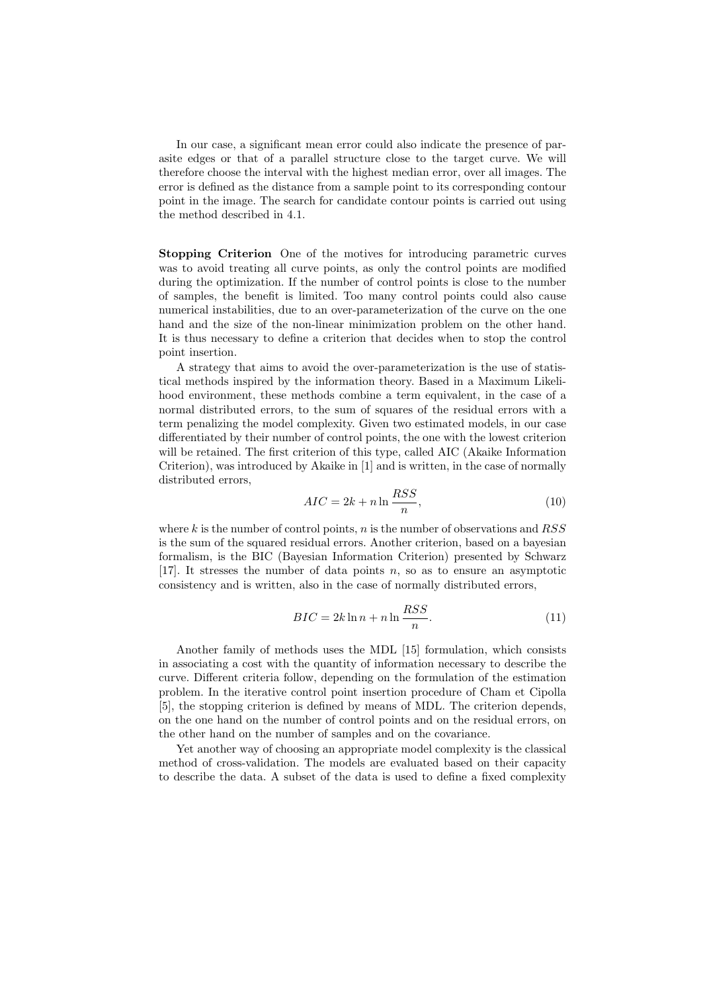In our case, a significant mean error could also indicate the presence of parasite edges or that of a parallel structure close to the target curve. We will therefore choose the interval with the highest median error, over all images. The error is defined as the distance from a sample point to its corresponding contour point in the image. The search for candidate contour points is carried out using the method described in 4.1.

Stopping Criterion One of the motives for introducing parametric curves was to avoid treating all curve points, as only the control points are modified during the optimization. If the number of control points is close to the number of samples, the benefit is limited. Too many control points could also cause numerical instabilities, due to an over-parameterization of the curve on the one hand and the size of the non-linear minimization problem on the other hand. It is thus necessary to define a criterion that decides when to stop the control point insertion.

A strategy that aims to avoid the over-parameterization is the use of statistical methods inspired by the information theory. Based in a Maximum Likelihood environment, these methods combine a term equivalent, in the case of a normal distributed errors, to the sum of squares of the residual errors with a term penalizing the model complexity. Given two estimated models, in our case differentiated by their number of control points, the one with the lowest criterion will be retained. The first criterion of this type, called AIC (Akaike Information Criterion), was introduced by Akaike in [1] and is written, in the case of normally distributed errors,

$$
AIC = 2k + n \ln \frac{RSS}{n},\tag{10}
$$

where k is the number of control points, n is the number of observations and  $RSS$ is the sum of the squared residual errors. Another criterion, based on a bayesian formalism, is the BIC (Bayesian Information Criterion) presented by Schwarz [17]. It stresses the number of data points  $n$ , so as to ensure an asymptotic consistency and is written, also in the case of normally distributed errors,

$$
BIC = 2k \ln n + n \ln \frac{RSS}{n}.
$$
\n(11)

Another family of methods uses the MDL [15] formulation, which consists in associating a cost with the quantity of information necessary to describe the curve. Different criteria follow, depending on the formulation of the estimation problem. In the iterative control point insertion procedure of Cham et Cipolla [5], the stopping criterion is defined by means of MDL. The criterion depends, on the one hand on the number of control points and on the residual errors, on the other hand on the number of samples and on the covariance.

Yet another way of choosing an appropriate model complexity is the classical method of cross-validation. The models are evaluated based on their capacity to describe the data. A subset of the data is used to define a fixed complexity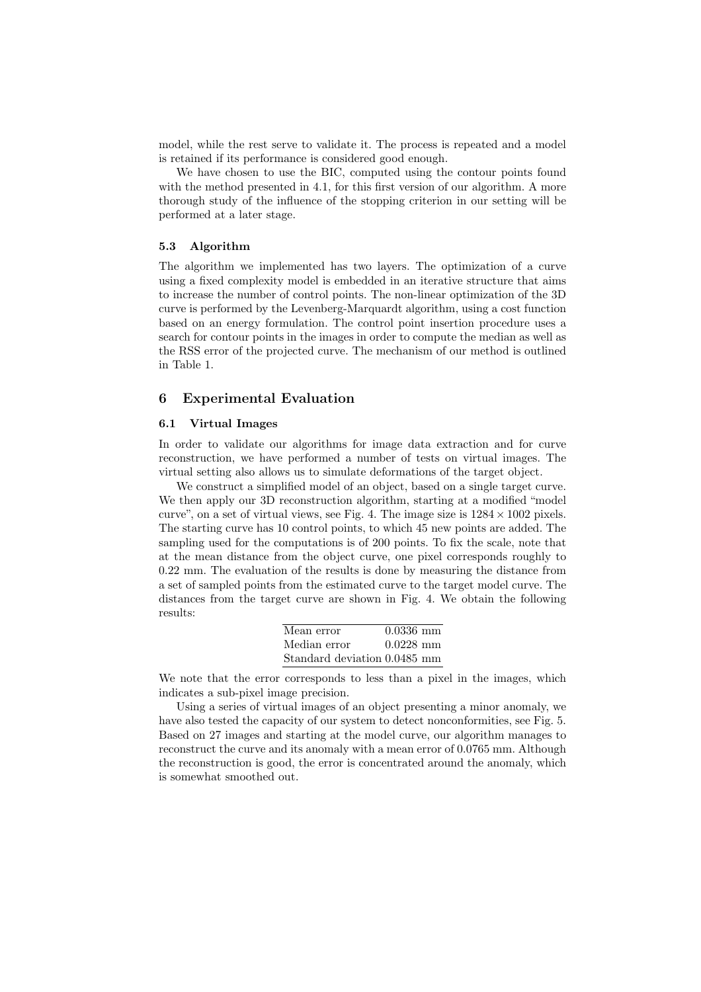model, while the rest serve to validate it. The process is repeated and a model is retained if its performance is considered good enough.

We have chosen to use the BIC, computed using the contour points found with the method presented in 4.1, for this first version of our algorithm. A more thorough study of the influence of the stopping criterion in our setting will be performed at a later stage.

#### 5.3 Algorithm

The algorithm we implemented has two layers. The optimization of a curve using a fixed complexity model is embedded in an iterative structure that aims to increase the number of control points. The non-linear optimization of the 3D curve is performed by the Levenberg-Marquardt algorithm, using a cost function based on an energy formulation. The control point insertion procedure uses a search for contour points in the images in order to compute the median as well as the RSS error of the projected curve. The mechanism of our method is outlined in Table 1.

## 6 Experimental Evaluation

### 6.1 Virtual Images

In order to validate our algorithms for image data extraction and for curve reconstruction, we have performed a number of tests on virtual images. The virtual setting also allows us to simulate deformations of the target object.

We construct a simplified model of an object, based on a single target curve. We then apply our 3D reconstruction algorithm, starting at a modified "model curve", on a set of virtual views, see Fig. 4. The image size is  $1284 \times 1002$  pixels. The starting curve has 10 control points, to which 45 new points are added. The sampling used for the computations is of 200 points. To fix the scale, note that at the mean distance from the object curve, one pixel corresponds roughly to 0.22 mm. The evaluation of the results is done by measuring the distance from a set of sampled points from the estimated curve to the target model curve. The distances from the target curve are shown in Fig. 4. We obtain the following results:

| Mean error                   | $0.0336$ mm |  |
|------------------------------|-------------|--|
| Median error                 | $0.0228$ mm |  |
| Standard deviation 0.0485 mm |             |  |

We note that the error corresponds to less than a pixel in the images, which indicates a sub-pixel image precision.

Using a series of virtual images of an object presenting a minor anomaly, we have also tested the capacity of our system to detect nonconformities, see Fig. 5. Based on 27 images and starting at the model curve, our algorithm manages to reconstruct the curve and its anomaly with a mean error of 0.0765 mm. Although the reconstruction is good, the error is concentrated around the anomaly, which is somewhat smoothed out.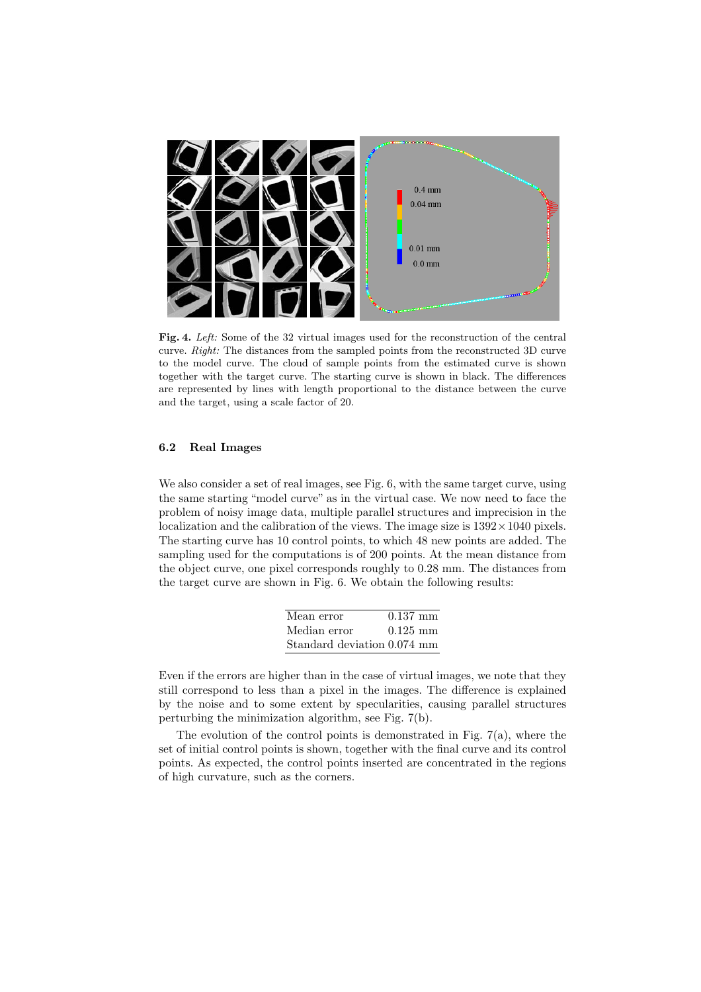

Fig. 4. Left: Some of the 32 virtual images used for the reconstruction of the central curve. Right: The distances from the sampled points from the reconstructed 3D curve to the model curve. The cloud of sample points from the estimated curve is shown together with the target curve. The starting curve is shown in black. The differences are represented by lines with length proportional to the distance between the curve and the target, using a scale factor of 20.

# 6.2 Real Images

We also consider a set of real images, see Fig. 6, with the same target curve, using the same starting "model curve" as in the virtual case. We now need to face the problem of noisy image data, multiple parallel structures and imprecision in the localization and the calibration of the views. The image size is  $1392 \times 1040$  pixels. The starting curve has 10 control points, to which 48 new points are added. The sampling used for the computations is of 200 points. At the mean distance from the object curve, one pixel corresponds roughly to 0.28 mm. The distances from the target curve are shown in Fig. 6. We obtain the following results:

| Mean error                  | $0.137$ mm |  |
|-----------------------------|------------|--|
| Median error                | $0.125$ mm |  |
| Standard deviation 0.074 mm |            |  |

Even if the errors are higher than in the case of virtual images, we note that they still correspond to less than a pixel in the images. The difference is explained by the noise and to some extent by specularities, causing parallel structures perturbing the minimization algorithm, see Fig. 7(b).

The evolution of the control points is demonstrated in Fig. 7(a), where the set of initial control points is shown, together with the final curve and its control points. As expected, the control points inserted are concentrated in the regions of high curvature, such as the corners.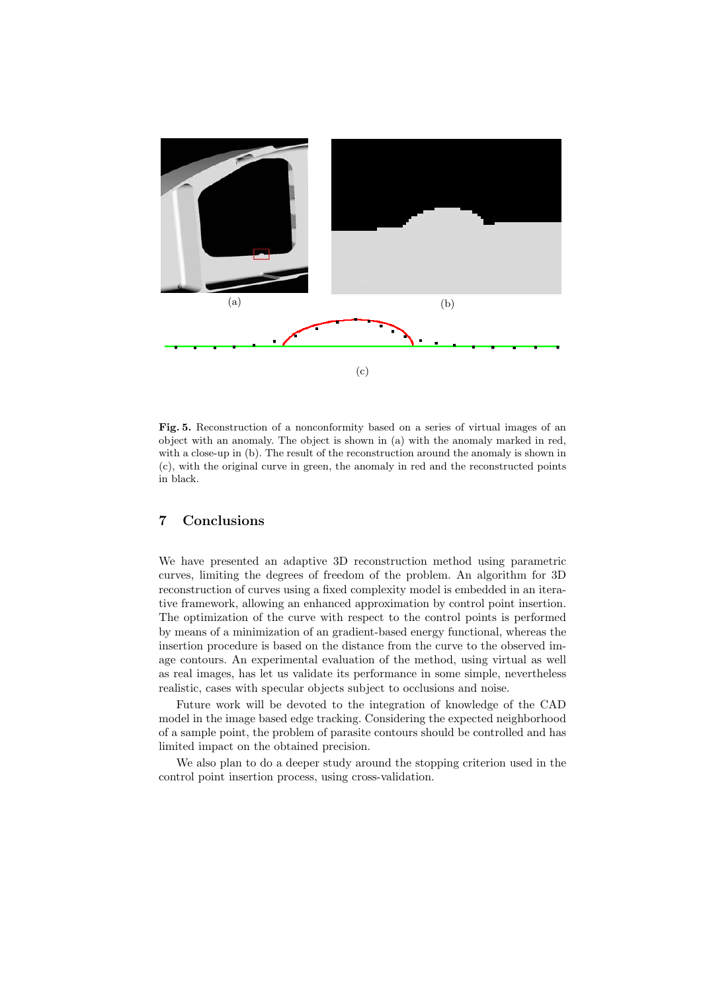

Fig. 5. Reconstruction of a nonconformity based on a series of virtual images of an object with an anomaly. The object is shown in (a) with the anomaly marked in red, with a close-up in (b). The result of the reconstruction around the anomaly is shown in (c), with the original curve in green, the anomaly in red and the reconstructed points in black.

# 7 Conclusions

We have presented an adaptive 3D reconstruction method using parametric curves, limiting the degrees of freedom of the problem. An algorithm for 3D reconstruction of curves using a fixed complexity model is embedded in an iterative framework, allowing an enhanced approximation by control point insertion. The optimization of the curve with respect to the control points is performed by means of a minimization of an gradient-based energy functional, whereas the insertion procedure is based on the distance from the curve to the observed image contours. An experimental evaluation of the method, using virtual as well as real images, has let us validate its performance in some simple, nevertheless realistic, cases with specular objects subject to occlusions and noise.

Future work will be devoted to the integration of knowledge of the CAD model in the image based edge tracking. Considering the expected neighborhood of a sample point, the problem of parasite contours should be controlled and has limited impact on the obtained precision.

We also plan to do a deeper study around the stopping criterion used in the control point insertion process, using cross-validation.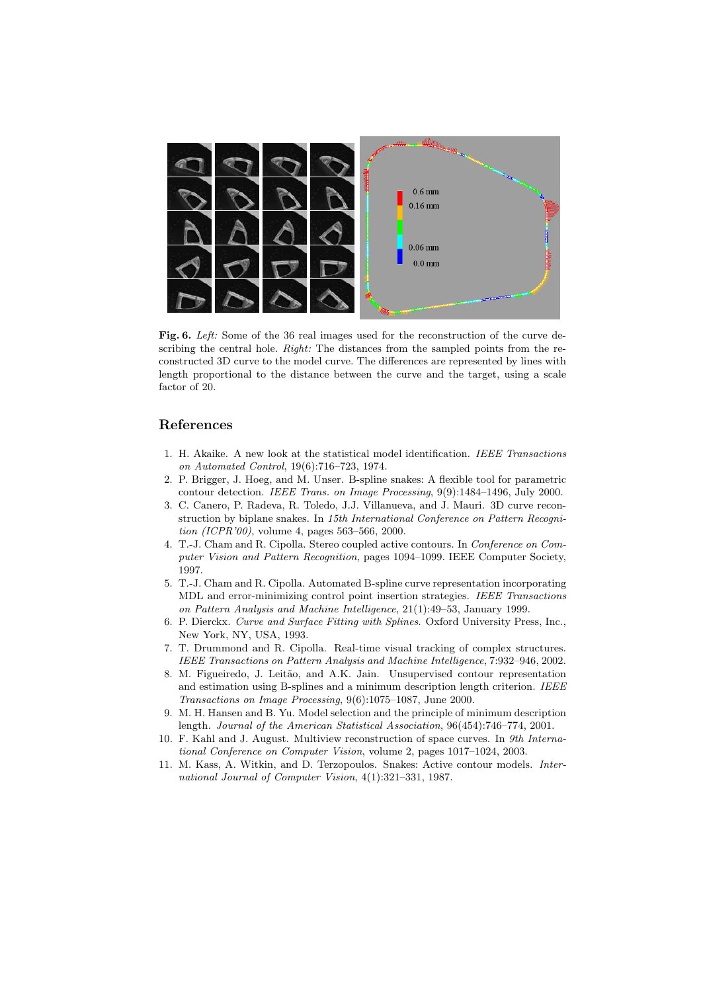

Fig. 6. Left: Some of the 36 real images used for the reconstruction of the curve describing the central hole. Right: The distances from the sampled points from the reconstructed 3D curve to the model curve. The differences are represented by lines with length proportional to the distance between the curve and the target, using a scale factor of 20.

# References

- 1. H. Akaike. A new look at the statistical model identification. IEEE Transactions on Automated Control, 19(6):716–723, 1974.
- 2. P. Brigger, J. Hoeg, and M. Unser. B-spline snakes: A flexible tool for parametric contour detection. IEEE Trans. on Image Processing, 9(9):1484–1496, July 2000.
- 3. C. Canero, P. Radeva, R. Toledo, J.J. Villanueva, and J. Mauri. 3D curve reconstruction by biplane snakes. In 15th International Conference on Pattern Recognition (ICPR'00), volume 4, pages 563–566, 2000.
- 4. T.-J. Cham and R. Cipolla. Stereo coupled active contours. In Conference on Computer Vision and Pattern Recognition, pages 1094–1099. IEEE Computer Society, 1997.
- 5. T.-J. Cham and R. Cipolla. Automated B-spline curve representation incorporating MDL and error-minimizing control point insertion strategies. IEEE Transactions on Pattern Analysis and Machine Intelligence, 21(1):49–53, January 1999.
- 6. P. Dierckx. Curve and Surface Fitting with Splines. Oxford University Press, Inc., New York, NY, USA, 1993.
- 7. T. Drummond and R. Cipolla. Real-time visual tracking of complex structures. IEEE Transactions on Pattern Analysis and Machine Intelligence, 7:932–946, 2002.
- 8. M. Figueiredo, J. Leitão, and A.K. Jain. Unsupervised contour representation and estimation using B-splines and a minimum description length criterion. IEEE Transactions on Image Processing, 9(6):1075–1087, June 2000.
- 9. M. H. Hansen and B. Yu. Model selection and the principle of minimum description length. Journal of the American Statistical Association, 96(454):746–774, 2001.
- 10. F. Kahl and J. August. Multiview reconstruction of space curves. In 9th International Conference on Computer Vision, volume 2, pages 1017–1024, 2003.
- 11. M. Kass, A. Witkin, and D. Terzopoulos. Snakes: Active contour models. International Journal of Computer Vision, 4(1):321–331, 1987.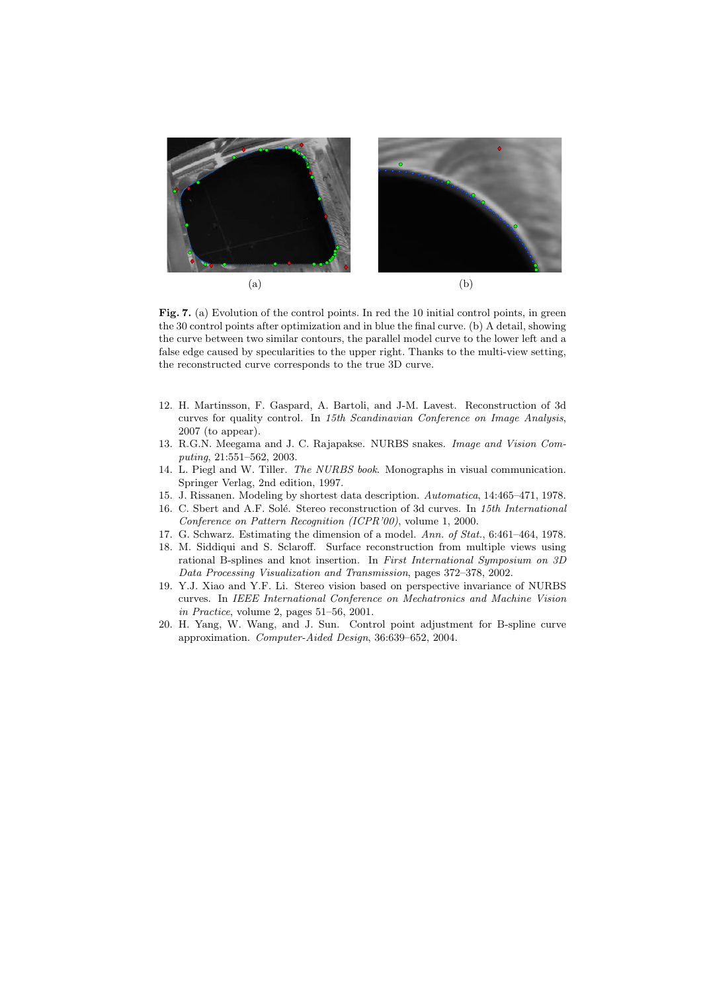

Fig. 7. (a) Evolution of the control points. In red the 10 initial control points, in green the 30 control points after optimization and in blue the final curve. (b) A detail, showing the curve between two similar contours, the parallel model curve to the lower left and a false edge caused by specularities to the upper right. Thanks to the multi-view setting, the reconstructed curve corresponds to the true 3D curve.

- 12. H. Martinsson, F. Gaspard, A. Bartoli, and J-M. Lavest. Reconstruction of 3d curves for quality control. In 15th Scandinavian Conference on Image Analysis, 2007 (to appear).
- 13. R.G.N. Meegama and J. C. Rajapakse. NURBS snakes. Image and Vision Computing, 21:551–562, 2003.
- 14. L. Piegl and W. Tiller. The NURBS book. Monographs in visual communication. Springer Verlag, 2nd edition, 1997.
- 15. J. Rissanen. Modeling by shortest data description. Automatica, 14:465–471, 1978.
- 16. C. Sbert and A.F. Solé. Stereo reconstruction of 3d curves. In 15th International Conference on Pattern Recognition (ICPR'00), volume 1, 2000.
- 17. G. Schwarz. Estimating the dimension of a model. Ann. of Stat., 6:461–464, 1978.
- 18. M. Siddiqui and S. Sclaroff. Surface reconstruction from multiple views using rational B-splines and knot insertion. In First International Symposium on 3D Data Processing Visualization and Transmission, pages 372–378, 2002.
- 19. Y.J. Xiao and Y.F. Li. Stereo vision based on perspective invariance of NURBS curves. In IEEE International Conference on Mechatronics and Machine Vision in Practice, volume 2, pages 51–56, 2001.
- 20. H. Yang, W. Wang, and J. Sun. Control point adjustment for B-spline curve approximation. Computer-Aided Design, 36:639–652, 2004.